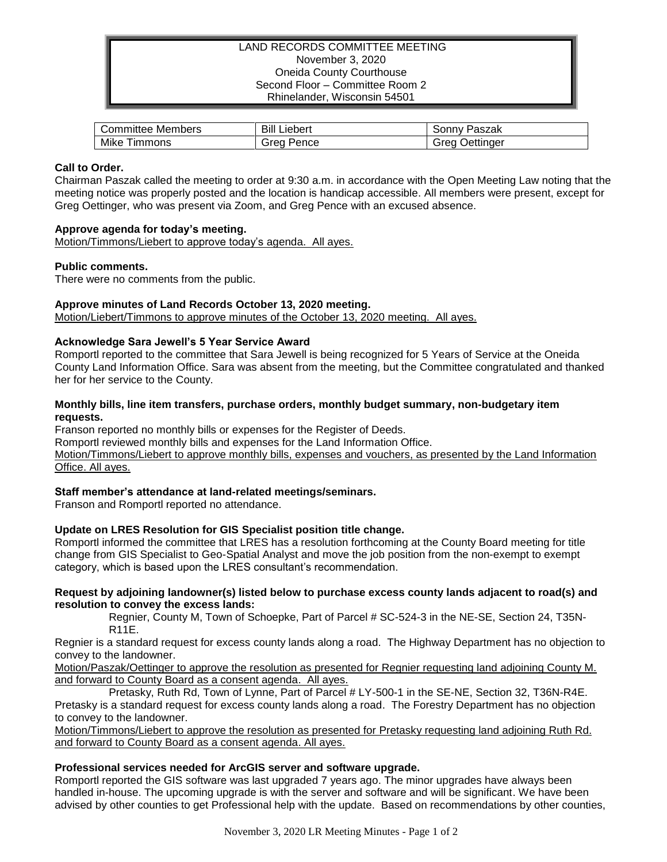## LAND RECORDS COMMITTEE MEETING November 3, 2020 Oneida County Courthouse Second Floor – Committee Room 2 Rhinelander, Wisconsin 54501

| Members     | Bill    | Paszak    |
|-------------|---------|-----------|
| Committee ′ | Liebert | ' onnvٽ   |
| Mike        | orea    | Jettinger |
| immons      | Pence   | areo      |

## **Call to Order.**

Chairman Paszak called the meeting to order at 9:30 a.m. in accordance with the Open Meeting Law noting that the meeting notice was properly posted and the location is handicap accessible. All members were present, except for Greg Oettinger, who was present via Zoom, and Greg Pence with an excused absence.

## **Approve agenda for today's meeting.**

Motion/Timmons/Liebert to approve today's agenda. All ayes.

## **Public comments.**

There were no comments from the public.

# **Approve minutes of Land Records October 13, 2020 meeting.**

Motion/Liebert/Timmons to approve minutes of the October 13, 2020 meeting. All ayes.

## **Acknowledge Sara Jewell's 5 Year Service Award**

Romportl reported to the committee that Sara Jewell is being recognized for 5 Years of Service at the Oneida County Land Information Office. Sara was absent from the meeting, but the Committee congratulated and thanked her for her service to the County.

## **Monthly bills, line item transfers, purchase orders, monthly budget summary, non-budgetary item requests.**

Franson reported no monthly bills or expenses for the Register of Deeds.

Romportl reviewed monthly bills and expenses for the Land Information Office.

Motion/Timmons/Liebert to approve monthly bills, expenses and vouchers, as presented by the Land Information Office. All ayes.

#### **Staff member's attendance at land-related meetings/seminars.**

Franson and Romportl reported no attendance.

# **Update on LRES Resolution for GIS Specialist position title change.**

Romportl informed the committee that LRES has a resolution forthcoming at the County Board meeting for title change from GIS Specialist to Geo-Spatial Analyst and move the job position from the non-exempt to exempt category, which is based upon the LRES consultant's recommendation.

#### **Request by adjoining landowner(s) listed below to purchase excess county lands adjacent to road(s) and resolution to convey the excess lands:**

Regnier, County M, Town of Schoepke, Part of Parcel # SC-524-3 in the NE-SE, Section 24, T35N-R11E.

Regnier is a standard request for excess county lands along a road. The Highway Department has no objection to convey to the landowner.

Motion/Paszak/Oettinger to approve the resolution as presented for Regnier requesting land adjoining County M. and forward to County Board as a consent agenda. All ayes.

Pretasky, Ruth Rd, Town of Lynne, Part of Parcel # LY-500-1 in the SE-NE, Section 32, T36N-R4E. Pretasky is a standard request for excess county lands along a road. The Forestry Department has no objection to convey to the landowner.

Motion/Timmons/Liebert to approve the resolution as presented for Pretasky requesting land adjoining Ruth Rd. and forward to County Board as a consent agenda. All ayes.

#### **Professional services needed for ArcGIS server and software upgrade.**

Romportl reported the GIS software was last upgraded 7 years ago. The minor upgrades have always been handled in-house. The upcoming upgrade is with the server and software and will be significant. We have been advised by other counties to get Professional help with the update. Based on recommendations by other counties,